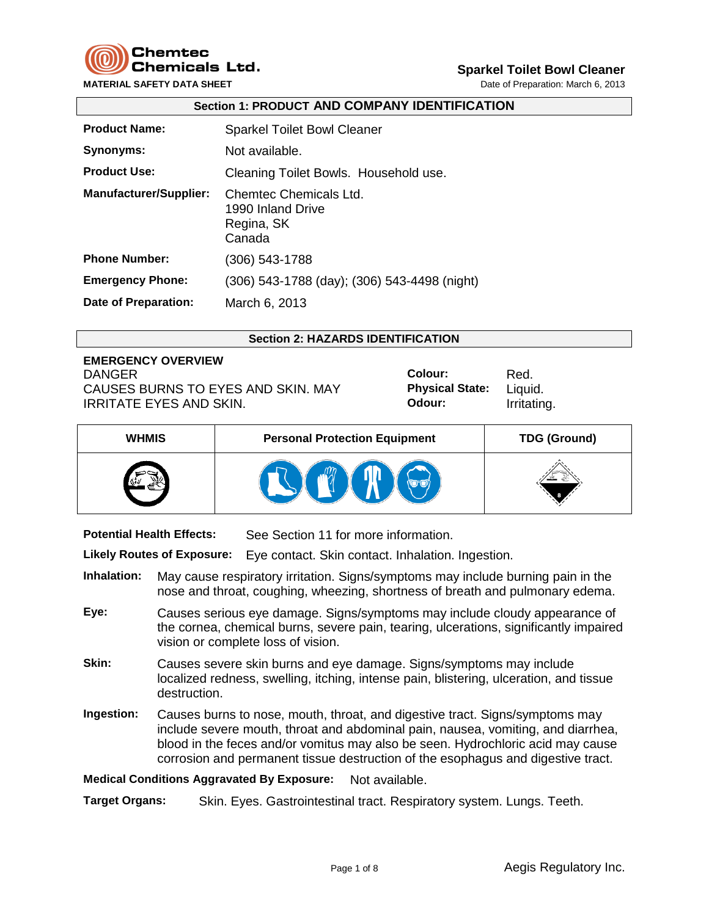

**MATERIAL SAFETY DATA SHEET DATA SHEET Date of Preparation: March 6, 2013** 

# **Sparkel Toilet Bowl Cleaner**

|                               | <b>Section 1: PRODUCT AND COMPANY IDENTIFICATION</b>                |
|-------------------------------|---------------------------------------------------------------------|
| <b>Product Name:</b>          | <b>Sparkel Toilet Bowl Cleaner</b>                                  |
| Synonyms:                     | Not available.                                                      |
| <b>Product Use:</b>           | Cleaning Toilet Bowls. Household use.                               |
| <b>Manufacturer/Supplier:</b> | Chemtec Chemicals Ltd.<br>1990 Inland Drive<br>Regina, SK<br>Canada |
| <b>Phone Number:</b>          | $(306)$ 543-1788                                                    |
| <b>Emergency Phone:</b>       | (306) 543-1788 (day); (306) 543-4498 (night)                        |
| Date of Preparation:          | March 6, 2013                                                       |

#### **Section 2: HAZARDS IDENTIFICATION**

# **EMERGENCY OVERVIEW** DANGER **Colour:** Red. CAUSES BURNS TO EYES AND SKIN. MAY IRRITATE EYES AND SKIN.

**Physical State:** Liquid. **Odour:** Irritating.

| <b>WHMIS</b> | <b>Personal Protection Equipment</b> | <b>TDG (Ground)</b> |
|--------------|--------------------------------------|---------------------|
|              |                                      |                     |

**Potential Health Effects:** See Section 11 for more information.

**Likely Routes of Exposure:** Eye contact. Skin contact. Inhalation. Ingestion.

- **Inhalation:** May cause respiratory irritation. Signs/symptoms may include burning pain in the nose and throat, coughing, wheezing, shortness of breath and pulmonary edema.
- **Eye:** Causes serious eye damage. Signs/symptoms may include cloudy appearance of the cornea, chemical burns, severe pain, tearing, ulcerations, significantly impaired vision or complete loss of vision.
- **Skin:** Causes severe skin burns and eye damage. Signs/symptoms may include localized redness, swelling, itching, intense pain, blistering, ulceration, and tissue destruction.
- **Ingestion:** Causes burns to nose, mouth, throat, and digestive tract. Signs/symptoms may include severe mouth, throat and abdominal pain, nausea, vomiting, and diarrhea, blood in the feces and/or vomitus may also be seen. Hydrochloric acid may cause corrosion and permanent tissue destruction of the esophagus and digestive tract.

**Medical Conditions Aggravated By Exposure:** Not available.

**Target Organs:** Skin. Eyes. Gastrointestinal tract. Respiratory system. Lungs. Teeth.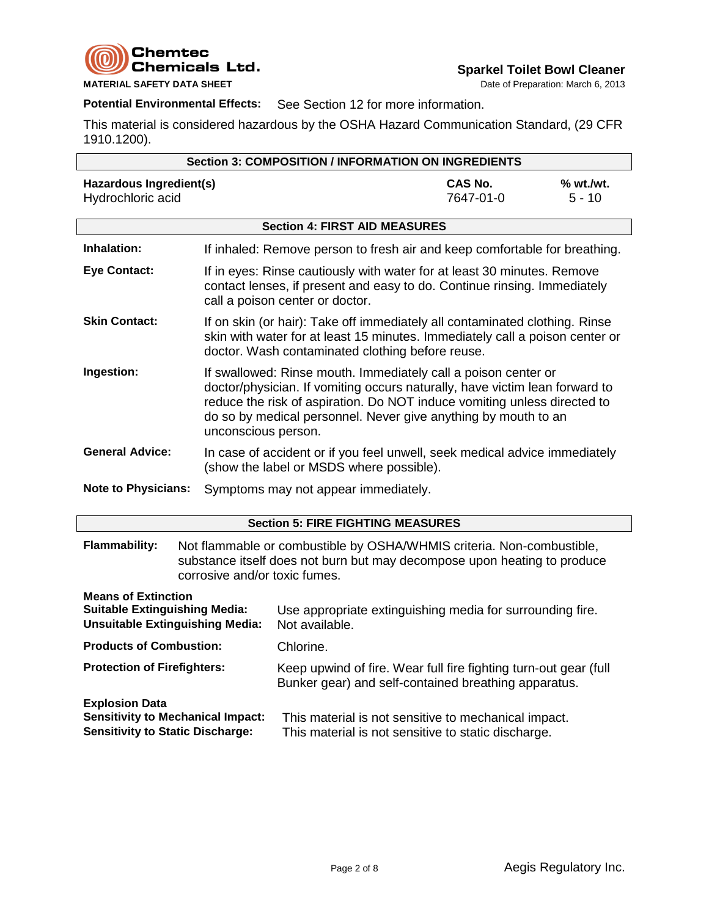

**Potential Environmental Effects:** See Section 12 for more information.

This material is considered hazardous by the OSHA Hazard Communication Standard, (29 CFR 1910.1200).

|                                                                                                                                                                                                                             | <b>Section 3: COMPOSITION / INFORMATION ON INGREDIENTS</b> |                                                                                                                                                                                                                                                                                                                    |                             |                       |  |
|-----------------------------------------------------------------------------------------------------------------------------------------------------------------------------------------------------------------------------|------------------------------------------------------------|--------------------------------------------------------------------------------------------------------------------------------------------------------------------------------------------------------------------------------------------------------------------------------------------------------------------|-----------------------------|-----------------------|--|
| <b>Hazardous Ingredient(s)</b><br>Hydrochloric acid                                                                                                                                                                         |                                                            |                                                                                                                                                                                                                                                                                                                    | <b>CAS No.</b><br>7647-01-0 | % wt./wt.<br>$5 - 10$ |  |
|                                                                                                                                                                                                                             |                                                            | <b>Section 4: FIRST AID MEASURES</b>                                                                                                                                                                                                                                                                               |                             |                       |  |
| Inhalation:                                                                                                                                                                                                                 |                                                            | If inhaled: Remove person to fresh air and keep comfortable for breathing.                                                                                                                                                                                                                                         |                             |                       |  |
| <b>Eye Contact:</b>                                                                                                                                                                                                         |                                                            | If in eyes: Rinse cautiously with water for at least 30 minutes. Remove<br>contact lenses, if present and easy to do. Continue rinsing. Immediately<br>call a poison center or doctor.                                                                                                                             |                             |                       |  |
| <b>Skin Contact:</b>                                                                                                                                                                                                        |                                                            | If on skin (or hair): Take off immediately all contaminated clothing. Rinse<br>skin with water for at least 15 minutes. Immediately call a poison center or<br>doctor. Wash contaminated clothing before reuse.                                                                                                    |                             |                       |  |
| Ingestion:                                                                                                                                                                                                                  |                                                            | If swallowed: Rinse mouth. Immediately call a poison center or<br>doctor/physician. If vomiting occurs naturally, have victim lean forward to<br>reduce the risk of aspiration. Do NOT induce vomiting unless directed to<br>do so by medical personnel. Never give anything by mouth to an<br>unconscious person. |                             |                       |  |
| <b>General Advice:</b>                                                                                                                                                                                                      |                                                            | In case of accident or if you feel unwell, seek medical advice immediately<br>(show the label or MSDS where possible).                                                                                                                                                                                             |                             |                       |  |
| <b>Note to Physicians:</b>                                                                                                                                                                                                  |                                                            | Symptoms may not appear immediately.                                                                                                                                                                                                                                                                               |                             |                       |  |
|                                                                                                                                                                                                                             |                                                            | <b>Section 5: FIRE FIGHTING MEASURES</b>                                                                                                                                                                                                                                                                           |                             |                       |  |
| <b>Flammability:</b><br>Not flammable or combustible by OSHA/WHMIS criteria. Non-combustible,<br>substance itself does not burn but may decompose upon heating to produce<br>corrosive and/or toxic fumes.                  |                                                            |                                                                                                                                                                                                                                                                                                                    |                             |                       |  |
| <b>Means of Extinction</b><br><b>Suitable Extinguishing Media:</b><br>Use appropriate extinguishing media for surrounding fire.<br><b>Unsuitable Extinguishing Media:</b><br>Not available.                                 |                                                            |                                                                                                                                                                                                                                                                                                                    |                             |                       |  |
| <b>Products of Combustion:</b>                                                                                                                                                                                              |                                                            | Chlorine.                                                                                                                                                                                                                                                                                                          |                             |                       |  |
| <b>Protection of Firefighters:</b><br>Keep upwind of fire. Wear full fire fighting turn-out gear (full<br>Bunker gear) and self-contained breathing apparatus.                                                              |                                                            |                                                                                                                                                                                                                                                                                                                    |                             |                       |  |
| <b>Explosion Data</b><br><b>Sensitivity to Mechanical Impact:</b><br>This material is not sensitive to mechanical impact.<br><b>Sensitivity to Static Discharge:</b><br>This material is not sensitive to static discharge. |                                                            |                                                                                                                                                                                                                                                                                                                    |                             |                       |  |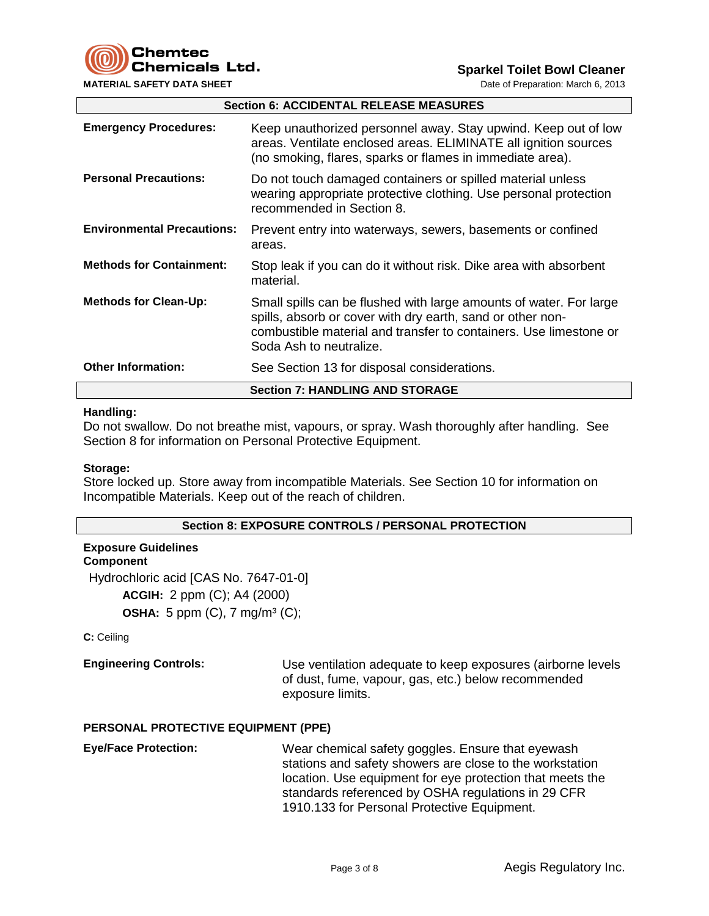**Chemtec** Chemicals Ltd.

**MATERIAL SAFETY DATA SHEET DATA SHEET Date of Preparation: March 6, 2013** 

**Sparkel Toilet Bowl Cleaner**

|                                   | <b>Section 6: ACCIDENTAL RELEASE MEASURES</b>                                                                                                                                                                                    |  |  |  |
|-----------------------------------|----------------------------------------------------------------------------------------------------------------------------------------------------------------------------------------------------------------------------------|--|--|--|
| <b>Emergency Procedures:</b>      | Keep unauthorized personnel away. Stay upwind. Keep out of low<br>areas. Ventilate enclosed areas. ELIMINATE all ignition sources<br>(no smoking, flares, sparks or flames in immediate area).                                   |  |  |  |
| <b>Personal Precautions:</b>      | Do not touch damaged containers or spilled material unless<br>wearing appropriate protective clothing. Use personal protection<br>recommended in Section 8.                                                                      |  |  |  |
| <b>Environmental Precautions:</b> | Prevent entry into waterways, sewers, basements or confined<br>areas.                                                                                                                                                            |  |  |  |
| <b>Methods for Containment:</b>   | Stop leak if you can do it without risk. Dike area with absorbent<br>material.                                                                                                                                                   |  |  |  |
| <b>Methods for Clean-Up:</b>      | Small spills can be flushed with large amounts of water. For large<br>spills, absorb or cover with dry earth, sand or other non-<br>combustible material and transfer to containers. Use limestone or<br>Soda Ash to neutralize. |  |  |  |
| <b>Other Information:</b>         | See Section 13 for disposal considerations.                                                                                                                                                                                      |  |  |  |
|                                   | <b>Section 7: HANDLING AND STORAGE</b>                                                                                                                                                                                           |  |  |  |

#### **Handling:**

Do not swallow. Do not breathe mist, vapours, or spray. Wash thoroughly after handling. See Section 8 for information on Personal Protective Equipment.

## **Storage:**

Store locked up. Store away from incompatible Materials. See Section 10 for information on Incompatible Materials. Keep out of the reach of children.

#### **Section 8: EXPOSURE CONTROLS / PERSONAL PROTECTION**

# **Exposure Guidelines**

**Component** Hydrochloric acid [CAS No. 7647-01-0] **ACGIH:** 2 ppm (C); A4 (2000) **OSHA:** 5 ppm (C), 7 mg/m<sup>3</sup> (C);

**C:** Ceiling

**Engineering Controls:** Use ventilation adequate to keep exposures (airborne levels of dust, fume, vapour, gas, etc.) below recommended exposure limits.

#### **PERSONAL PROTECTIVE EQUIPMENT (PPE)**

**Eye/Face Protection:** Wear chemical safety goggles. Ensure that eyewash stations and safety showers are close to the workstation location. Use equipment for eye protection that meets the standards referenced by OSHA regulations in 29 CFR 1910.133 for Personal Protective Equipment.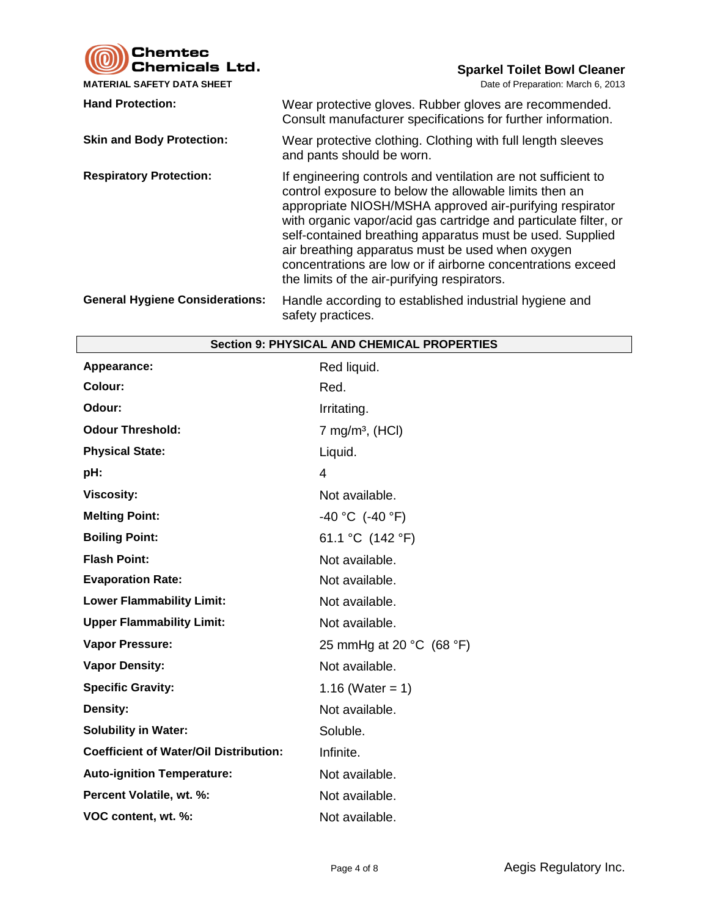Chemtec<br>Chemicals Ltd.

**MATERIAL SAFETY DATA SHEET** 

**Sparkel Toilet Bowl Cleaner**<br>Date of Preparation: March 6, 2013

| <b>Hand Protection:</b>                | Wear protective gloves. Rubber gloves are recommended.<br>Consult manufacturer specifications for further information.                                                                                                                                                                                                                                                                                                                                                                  |
|----------------------------------------|-----------------------------------------------------------------------------------------------------------------------------------------------------------------------------------------------------------------------------------------------------------------------------------------------------------------------------------------------------------------------------------------------------------------------------------------------------------------------------------------|
| <b>Skin and Body Protection:</b>       | Wear protective clothing. Clothing with full length sleeves<br>and pants should be worn.                                                                                                                                                                                                                                                                                                                                                                                                |
| <b>Respiratory Protection:</b>         | If engineering controls and ventilation are not sufficient to<br>control exposure to below the allowable limits then an<br>appropriate NIOSH/MSHA approved air-purifying respirator<br>with organic vapor/acid gas cartridge and particulate filter, or<br>self-contained breathing apparatus must be used. Supplied<br>air breathing apparatus must be used when oxygen<br>concentrations are low or if airborne concentrations exceed<br>the limits of the air-purifying respirators. |
| <b>General Hygiene Considerations:</b> | Handle according to established industrial hygiene and<br>safety practices.                                                                                                                                                                                                                                                                                                                                                                                                             |

| <b>Section 9: PHYSICAL AND CHEMICAL PROPERTIES</b> |                               |  |  |  |
|----------------------------------------------------|-------------------------------|--|--|--|
| Appearance:                                        | Red liquid.                   |  |  |  |
| Colour:                                            | Red.                          |  |  |  |
| Odour:                                             | Irritating.                   |  |  |  |
| <b>Odour Threshold:</b>                            | 7 mg/m <sup>3</sup> , $(HCl)$ |  |  |  |
| <b>Physical State:</b>                             | Liquid.                       |  |  |  |
| pH:                                                | $\overline{4}$                |  |  |  |
| <b>Viscosity:</b>                                  | Not available.                |  |  |  |
| <b>Melting Point:</b>                              | $-40 °C$ (-40 °F)             |  |  |  |
| <b>Boiling Point:</b>                              | 61.1 °C (142 °F)              |  |  |  |
| <b>Flash Point:</b>                                | Not available.                |  |  |  |
| <b>Evaporation Rate:</b>                           | Not available.                |  |  |  |
| <b>Lower Flammability Limit:</b>                   | Not available.                |  |  |  |
| <b>Upper Flammability Limit:</b>                   | Not available.                |  |  |  |
| <b>Vapor Pressure:</b>                             | 25 mmHg at 20 $°C$ (68 $°F$ ) |  |  |  |
| <b>Vapor Density:</b>                              | Not available.                |  |  |  |
| <b>Specific Gravity:</b>                           | 1.16 (Water = 1)              |  |  |  |
| Density:                                           | Not available.                |  |  |  |
| <b>Solubility in Water:</b>                        | Soluble.                      |  |  |  |
| <b>Coefficient of Water/Oil Distribution:</b>      | Infinite.                     |  |  |  |
| <b>Auto-ignition Temperature:</b>                  | Not available.                |  |  |  |
| Percent Volatile, wt. %:                           | Not available.                |  |  |  |
| VOC content, wt. %:                                | Not available.                |  |  |  |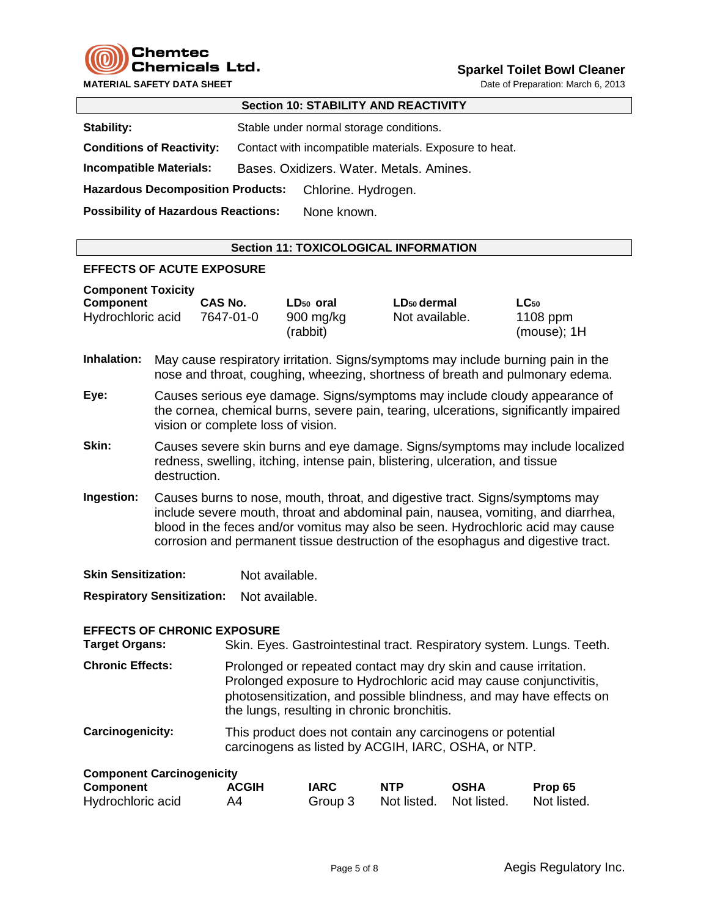

**MATERIAL SAFETY DATA SHEET** DATA SHEET DATA SHEET DATE OF PREPARATION: March 6, 2013

|                                            | <u> 999691 191 917691 - 1189 18976 1918 1</u>          |
|--------------------------------------------|--------------------------------------------------------|
| <b>Stability:</b>                          | Stable under normal storage conditions.                |
| <b>Conditions of Reactivity:</b>           | Contact with incompatible materials. Exposure to heat. |
| <b>Incompatible Materials:</b>             | Bases, Oxidizers, Water, Metals, Amines,               |
| <b>Hazardous Decomposition Products:</b>   | Chlorine. Hydrogen.                                    |
| <b>Possibility of Hazardous Reactions:</b> | None known.                                            |
|                                            |                                                        |

## **Section 11: TOXICOLOGICAL INFORMATION**

**Section 10: STABILITY AND REACTIVITY**

#### **EFFECTS OF ACUTE EXPOSURE**

| <b>Component Toxicity</b> |           |                                 |                         |                              |
|---------------------------|-----------|---------------------------------|-------------------------|------------------------------|
| <b>Component</b>          | CAS No.   | LD <sub>50</sub> oral           | LD <sub>50</sub> dermal | $LC_{50}$                    |
| Hydrochloric acid         | 7647-01-0 | $900 \text{ mg/kg}$<br>(rabbit) | Not available.          | $1108$ ppm<br>$(mouse)$ ; 1H |

- **Inhalation:** May cause respiratory irritation. Signs/symptoms may include burning pain in the nose and throat, coughing, wheezing, shortness of breath and pulmonary edema.
- **Eye:** Causes serious eye damage. Signs/symptoms may include cloudy appearance of the cornea, chemical burns, severe pain, tearing, ulcerations, significantly impaired vision or complete loss of vision.
- **Skin:** Causes severe skin burns and eye damage. Signs/symptoms may include localized redness, swelling, itching, intense pain, blistering, ulceration, and tissue destruction.
- **Ingestion:** Causes burns to nose, mouth, throat, and digestive tract. Signs/symptoms may include severe mouth, throat and abdominal pain, nausea, vomiting, and diarrhea, blood in the feces and/or vomitus may also be seen. Hydrochloric acid may cause corrosion and permanent tissue destruction of the esophagus and digestive tract.

**Skin Sensitization:** Not available.

**Respiratory Sensitization:** Not available.

#### **EFFECTS OF CHRONIC EXPOSURE**

**Target Organs:** Skin. Eyes. Gastrointestinal tract. Respiratory system. Lungs. Teeth. **Chronic Effects:** Prolonged or repeated contact may dry skin and cause irritation. Prolonged exposure to Hydrochloric acid may cause conjunctivitis, photosensitization, and possible blindness, and may have effects on the lungs, resulting in chronic bronchitis.

**Carcinogenicity:** This product does not contain any carcinogens or potential carcinogens as listed by ACGIH, IARC, OSHA, or NTP.

| <b>Component Carcinogenicity</b> |              |             |                         |             |             |
|----------------------------------|--------------|-------------|-------------------------|-------------|-------------|
| Component                        | <b>ACGIH</b> | <b>IARC</b> | <b>NTP</b>              | <b>OSHA</b> | Prop 65     |
| Hydrochloric acid                | A4           | Group 3     | Not listed. Not listed. |             | Not listed. |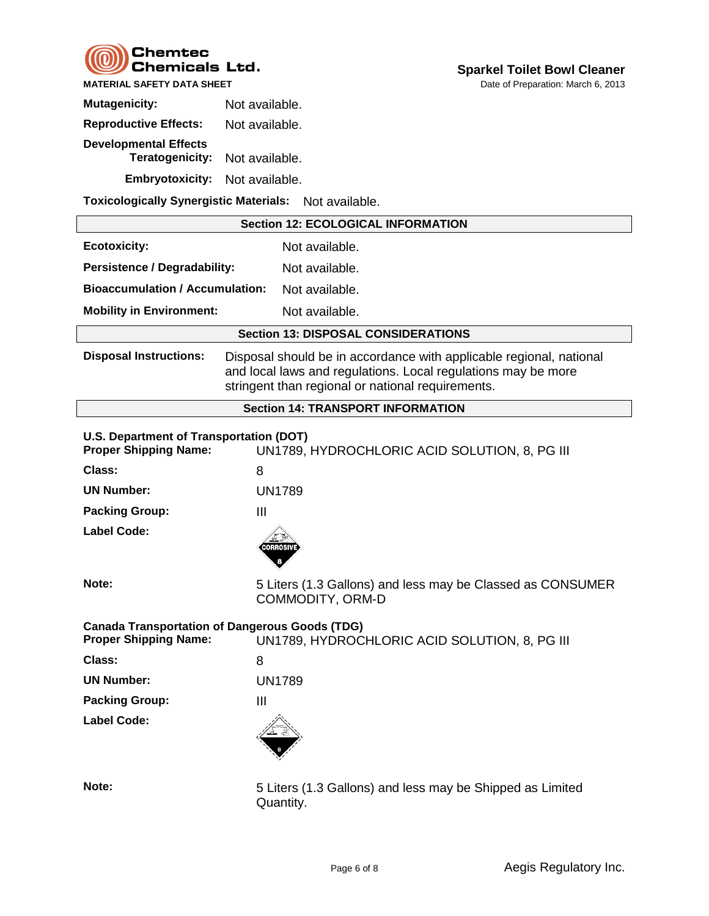

| <b>Mutagenicity:</b>                            | Not available. |
|-------------------------------------------------|----------------|
| <b>Reproductive Effects:</b>                    | Not available. |
| <b>Developmental Effects</b><br>Teratogenicity: | Not available. |
| <b>Embryotoxicity:</b>                          | Not available. |

**Toxicologically Synergistic Materials:** Not available.

|                                                                                       | <b>Section 12: ECOLOGICAL INFORMATION</b>                                                                                                                                                 |
|---------------------------------------------------------------------------------------|-------------------------------------------------------------------------------------------------------------------------------------------------------------------------------------------|
| <b>Ecotoxicity:</b>                                                                   | Not available.                                                                                                                                                                            |
| <b>Persistence / Degradability:</b>                                                   | Not available.                                                                                                                                                                            |
| <b>Bioaccumulation / Accumulation:</b>                                                | Not available.                                                                                                                                                                            |
| <b>Mobility in Environment:</b>                                                       | Not available.                                                                                                                                                                            |
|                                                                                       | <b>Section 13: DISPOSAL CONSIDERATIONS</b>                                                                                                                                                |
| <b>Disposal Instructions:</b>                                                         | Disposal should be in accordance with applicable regional, national<br>and local laws and regulations. Local regulations may be more<br>stringent than regional or national requirements. |
|                                                                                       | <b>Section 14: TRANSPORT INFORMATION</b>                                                                                                                                                  |
| U.S. Department of Transportation (DOT)<br><b>Proper Shipping Name:</b>               | UN1789, HYDROCHLORIC ACID SOLUTION, 8, PG III                                                                                                                                             |
| Class:                                                                                | 8                                                                                                                                                                                         |
| <b>UN Number:</b>                                                                     | <b>UN1789</b>                                                                                                                                                                             |
| <b>Packing Group:</b>                                                                 | $\mathbf{III}$                                                                                                                                                                            |
| <b>Label Code:</b>                                                                    | <b>CORROSIV</b>                                                                                                                                                                           |
| Note:                                                                                 | 5 Liters (1.3 Gallons) and less may be Classed as CONSUMER<br>COMMODITY, ORM-D                                                                                                            |
| <b>Canada Transportation of Dangerous Goods (TDG)</b><br><b>Proper Shipping Name:</b> | UN1789, HYDROCHLORIC ACID SOLUTION, 8, PG III                                                                                                                                             |
| Class:                                                                                | 8                                                                                                                                                                                         |
| <b>UN Number:</b>                                                                     | <b>UN1789</b>                                                                                                                                                                             |
| <b>Packing Group:</b>                                                                 | $\mathbf{III}$                                                                                                                                                                            |
| <b>Label Code:</b>                                                                    |                                                                                                                                                                                           |
| Note:                                                                                 | 5 Liters (1.3 Gallons) and less may be Shipped as Limited<br>Quantity.                                                                                                                    |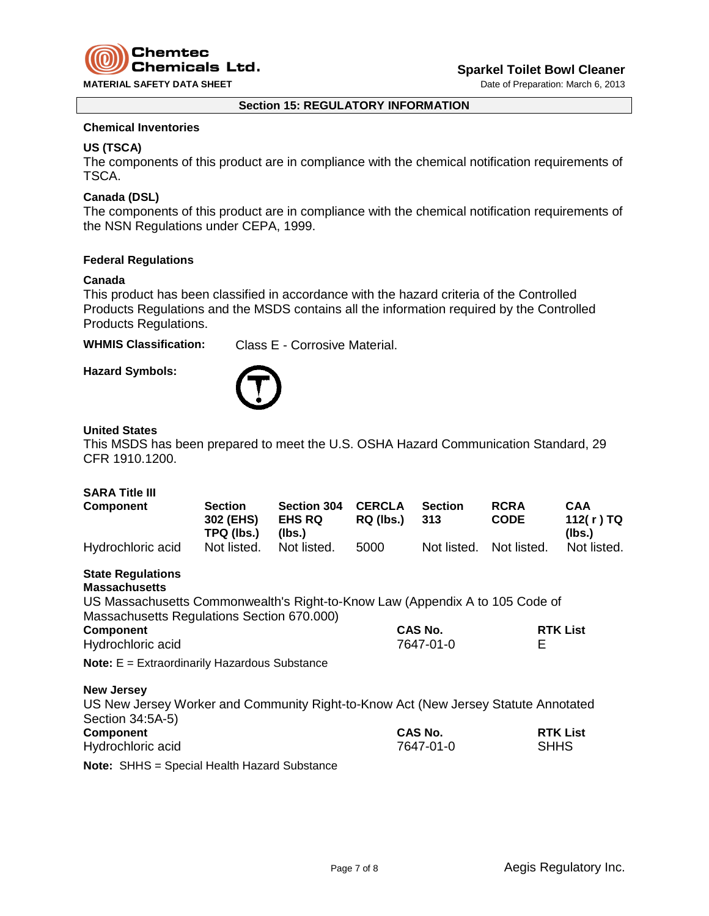

#### **Section 15: REGULATORY INFORMATION**

### **Chemical Inventories**

## **US (TSCA)**

The components of this product are in compliance with the chemical notification requirements of TSCA.

# **Canada (DSL)**

The components of this product are in compliance with the chemical notification requirements of the NSN Regulations under CEPA, 1999.

#### **Federal Regulations**

#### **Canada**

This product has been classified in accordance with the hazard criteria of the Controlled Products Regulations and the MSDS contains all the information required by the Controlled Products Regulations.

**WHMIS Classification:** Class E - Corrosive Material.

**Hazard Symbols:**



#### **United States**

This MSDS has been prepared to meet the U.S. OSHA Hazard Communication Standard, 29 CFR 1910.1200.

#### **SARA Title III**

| Component         | <b>Section</b><br>302 (EHS)<br>TPQ (lbs.) | <b>Section 304</b><br><b>EHS RQ</b><br>(lbs.) | <b>CERCLA</b><br>RQ (lbs.) | <b>Section</b><br>313   | <b>RCRA</b><br><b>CODE</b> | CAA<br>112(r)TQ<br>(lbs.) |
|-------------------|-------------------------------------------|-----------------------------------------------|----------------------------|-------------------------|----------------------------|---------------------------|
| Hydrochloric acid | Not listed.                               | Not listed.                                   | 5000                       | Not listed. Not listed. |                            | Not listed.               |

#### **State Regulations Massachusetts**

US Massachusetts Commonwealth's Right-to-Know Law (Appendix A to 105 Code of Massachusetts Regulations Section 670.000)

| <b>Component</b>  | <b>CAS No.</b> | <b>RTK List</b> |
|-------------------|----------------|-----------------|
| Hydrochloric acid | 7647-01-0      |                 |

**Note:** E = Extraordinarily Hazardous Substance

**New Jersey**

US New Jersey Worker and Community Right-to-Know Act (New Jersey Statute Annotated Section 34:5A-5) **Component CAS No. RTK List** Hydrochloric acid 7647-01-0 SHHS

**Note:** SHHS = Special Health Hazard Substance